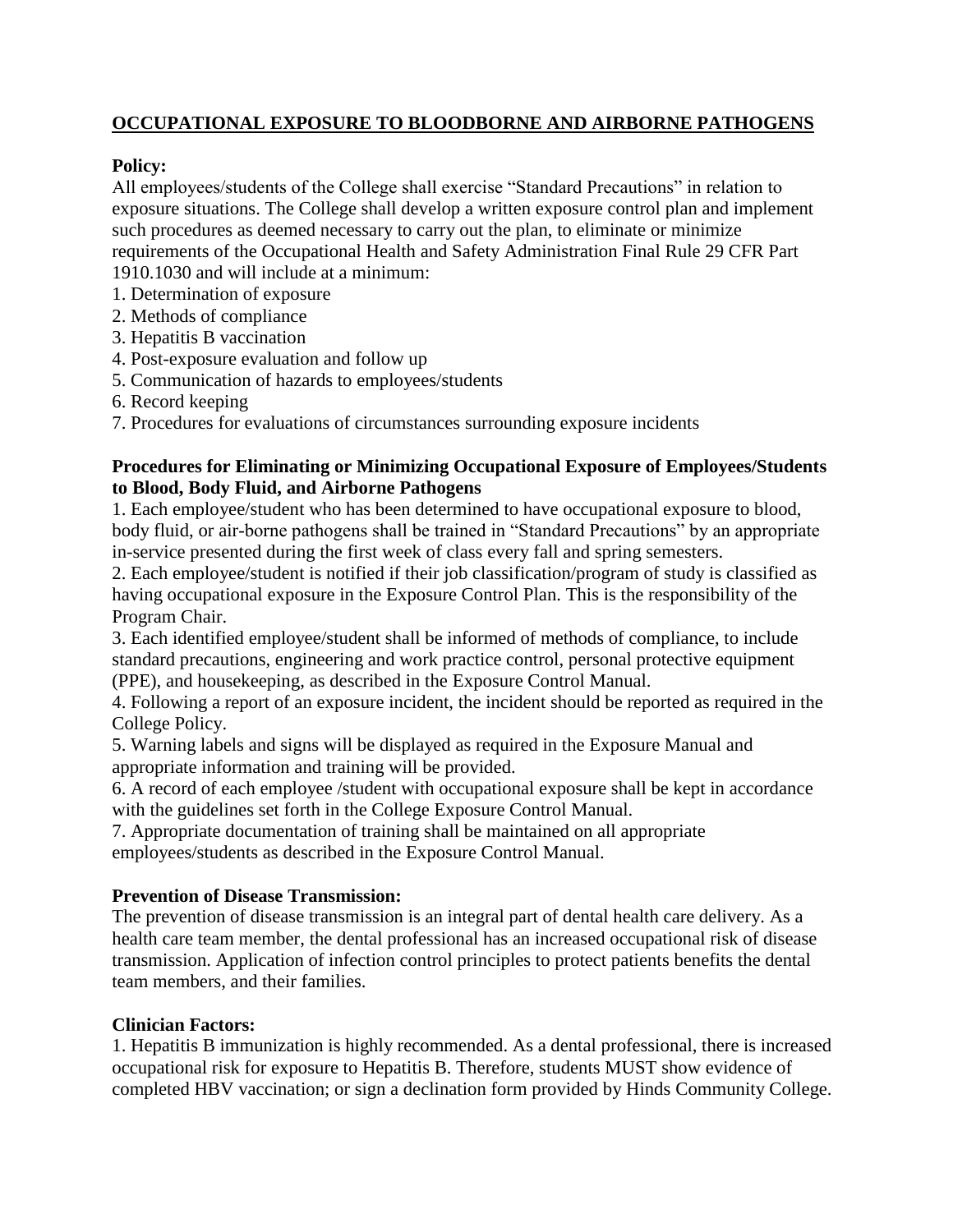# **OCCUPATIONAL EXPOSURE TO BLOODBORNE AND AIRBORNE PATHOGENS**

# **Policy:**

All employees/students of the College shall exercise "Standard Precautions" in relation to exposure situations. The College shall develop a written exposure control plan and implement such procedures as deemed necessary to carry out the plan, to eliminate or minimize requirements of the Occupational Health and Safety Administration Final Rule 29 CFR Part 1910.1030 and will include at a minimum:

- 1. Determination of exposure
- 2. Methods of compliance
- 3. Hepatitis B vaccination
- 4. Post-exposure evaluation and follow up
- 5. Communication of hazards to employees/students
- 6. Record keeping
- 7. Procedures for evaluations of circumstances surrounding exposure incidents

#### **Procedures for Eliminating or Minimizing Occupational Exposure of Employees/Students to Blood, Body Fluid, and Airborne Pathogens**

1. Each employee/student who has been determined to have occupational exposure to blood, body fluid, or air-borne pathogens shall be trained in "Standard Precautions" by an appropriate in-service presented during the first week of class every fall and spring semesters.

2. Each employee/student is notified if their job classification/program of study is classified as having occupational exposure in the Exposure Control Plan. This is the responsibility of the Program Chair.

3. Each identified employee/student shall be informed of methods of compliance, to include standard precautions, engineering and work practice control, personal protective equipment (PPE), and housekeeping, as described in the Exposure Control Manual.

4. Following a report of an exposure incident, the incident should be reported as required in the College Policy.

5. Warning labels and signs will be displayed as required in the Exposure Manual and appropriate information and training will be provided.

6. A record of each employee /student with occupational exposure shall be kept in accordance with the guidelines set forth in the College Exposure Control Manual.

7. Appropriate documentation of training shall be maintained on all appropriate employees/students as described in the Exposure Control Manual.

## **Prevention of Disease Transmission:**

The prevention of disease transmission is an integral part of dental health care delivery. As a health care team member, the dental professional has an increased occupational risk of disease transmission. Application of infection control principles to protect patients benefits the dental team members, and their families.

## **Clinician Factors:**

1. Hepatitis B immunization is highly recommended. As a dental professional, there is increased occupational risk for exposure to Hepatitis B. Therefore, students MUST show evidence of completed HBV vaccination; or sign a declination form provided by Hinds Community College.